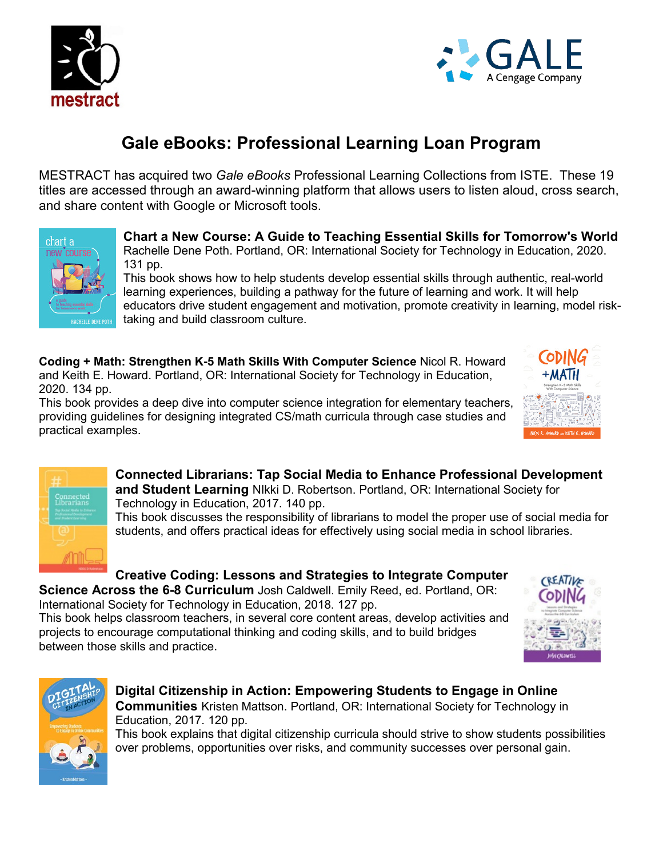



# **Gale eBooks: Professional Learning Loan Program**

MESTRACT has acquired two *Gale eBooks* Professional Learning Collections from ISTE. These 19 titles are accessed through an award-winning platform that allows users to listen aloud, cross search, and share content with Google or Microsoft tools.



#### **Chart a New Course: A Guide to Teaching Essential Skills for Tomorrow's World** Rachelle Dene Poth. Portland, OR: International Society for Technology in Education, 2020. 131 pp.

This book shows how to help students develop essential skills through authentic, real-world learning experiences, building a pathway for the future of learning and work. It will help educators drive student engagement and motivation, promote creativity in learning, model risktaking and build classroom culture.

**Coding + Math: Strengthen K-5 Math Skills With Computer Science** Nicol R. Howard and Keith E. Howard. Portland, OR: International Society for Technology in Education, 2020. 134 pp.

This book provides a deep dive into computer science integration for elementary teachers, providing guidelines for designing integrated CS/math curricula through case studies and practical examples.





**Connected Librarians: Tap Social Media to Enhance Professional Development and Student Learning** NIkki D. Robertson. Portland, OR: International Society for Technology in Education, 2017. 140 pp.

This book discusses the responsibility of librarians to model the proper use of social media for students, and offers practical ideas for effectively using social media in school libraries.

# **Creative Coding: Lessons and Strategies to Integrate Computer**

**Science Across the 6-8 Curriculum** Josh Caldwell. Emily Reed, ed. Portland, OR: International Society for Technology in Education, 2018. 127 pp.

This book helps classroom teachers, in several core content areas, develop activities and projects to encourage computational thinking and coding skills, and to build bridges between those skills and practice.





### **Digital Citizenship in Action: Empowering Students to Engage in Online Communities** Kristen Mattson. Portland, OR: International Society for Technology in Education, 2017. 120 pp.

This book explains that digital citizenship curricula should strive to show students possibilities over problems, opportunities over risks, and community successes over personal gain.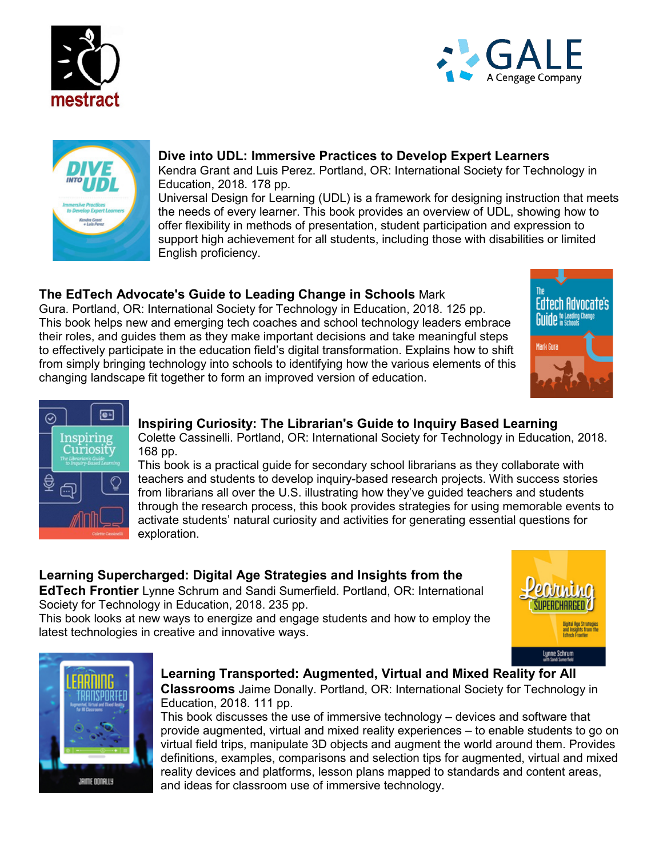





## **Dive into UDL: Immersive Practices to Develop Expert Learners** Kendra Grant and Luis Perez. Portland, OR: International Society for Technology in

Education, 2018. 178 pp. Universal Design for Learning (UDL) is a framework for designing instruction that meets the needs of every learner. This book provides an overview of UDL, showing how to offer flexibility in methods of presentation, student participation and expression to support high achievement for all students, including those with disabilities or limited English proficiency.

# **The EdTech Advocate's Guide to Leading Change in Schools** Mark

Gura. Portland, OR: International Society for Technology in Education, 2018. 125 pp. This book helps new and emerging tech coaches and school technology leaders embrace their roles, and guides them as they make important decisions and take meaningful steps to effectively participate in the education field's digital transformation. Explains how to shift from simply bringing technology into schools to identifying how the various elements of this changing landscape fit together to form an improved version of education.





### **Inspiring Curiosity: The Librarian's Guide to Inquiry Based Learning**

Colette Cassinelli. Portland, OR: International Society for Technology in Education, 2018. 168 pp.

This book is a practical guide for secondary school librarians as they collaborate with teachers and students to develop inquiry-based research projects. With success stories from librarians all over the U.S. illustrating how they've guided teachers and students through the research process, this book provides strategies for using memorable events to activate students' natural curiosity and activities for generating essential questions for exploration.

# **Learning Supercharged: Digital Age Strategies and Insights from the**

**EdTech Frontier** Lynne Schrum and Sandi Sumerfield. Portland, OR: International Society for Technology in Education, 2018. 235 pp.

This book looks at new ways to energize and engage students and how to employ the latest technologies in creative and innovative ways.





#### **Learning Transported: Augmented, Virtual and Mixed Reality for All Classrooms** Jaime Donally. Portland, OR: International Society for Technology in Education, 2018. 111 pp.

This book discusses the use of immersive technology – devices and software that provide augmented, virtual and mixed reality experiences – to enable students to go on virtual field trips, manipulate 3D objects and augment the world around them. Provides definitions, examples, comparisons and selection tips for augmented, virtual and mixed reality devices and platforms, lesson plans mapped to standards and content areas, and ideas for classroom use of immersive technology.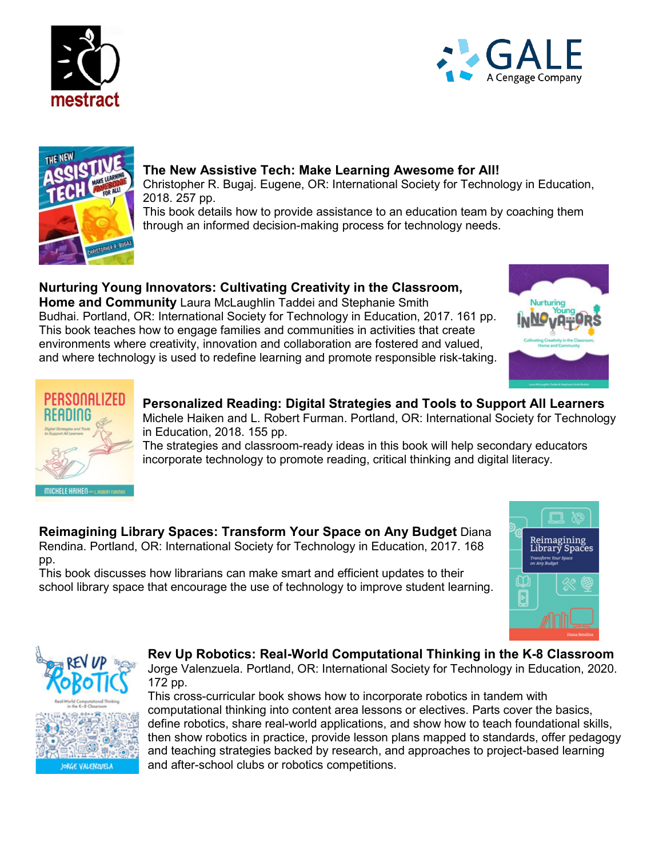





#### **The New Assistive Tech: Make Learning Awesome for All!**

Christopher R. Bugaj. Eugene, OR: International Society for Technology in Education, 2018. 257 pp.

This book details how to provide assistance to an education team by coaching them through an informed decision-making process for technology needs.

### **Nurturing Young Innovators: Cultivating Creativity in the Classroom,**

**Home and Community** Laura McLaughlin Taddei and Stephanie Smith Budhai. Portland, OR: International Society for Technology in Education, 2017. 161 pp. This book teaches how to engage families and communities in activities that create environments where creativity, innovation and collaboration are fostered and valued, and where technology is used to redefine learning and promote responsible risk-taking.





#### **Personalized Reading: Digital Strategies and Tools to Support All Learners** Michele Haiken and L. Robert Furman. Portland, OR: International Society for Technology

in Education, 2018. 155 pp.

The strategies and classroom-ready ideas in this book will help secondary educators incorporate technology to promote reading, critical thinking and digital literacy.

**Reimagining Library Spaces: Transform Your Space on Any Budget** Diana Rendina. Portland, OR: International Society for Technology in Education, 2017. 168 pp.

This book discusses how librarians can make smart and efficient updates to their school library space that encourage the use of technology to improve student learning.





#### **Rev Up Robotics: Real-World Computational Thinking in the K-8 Classroom**

Jorge Valenzuela. Portland, OR: International Society for Technology in Education, 2020. 172 pp.

This cross-curricular book shows how to incorporate robotics in tandem with computational thinking into content area lessons or electives. Parts cover the basics, define robotics, share real-world applications, and show how to teach foundational skills, then show robotics in practice, provide lesson plans mapped to standards, offer pedagogy and teaching strategies backed by research, and approaches to project-based learning and after-school clubs or robotics competitions.